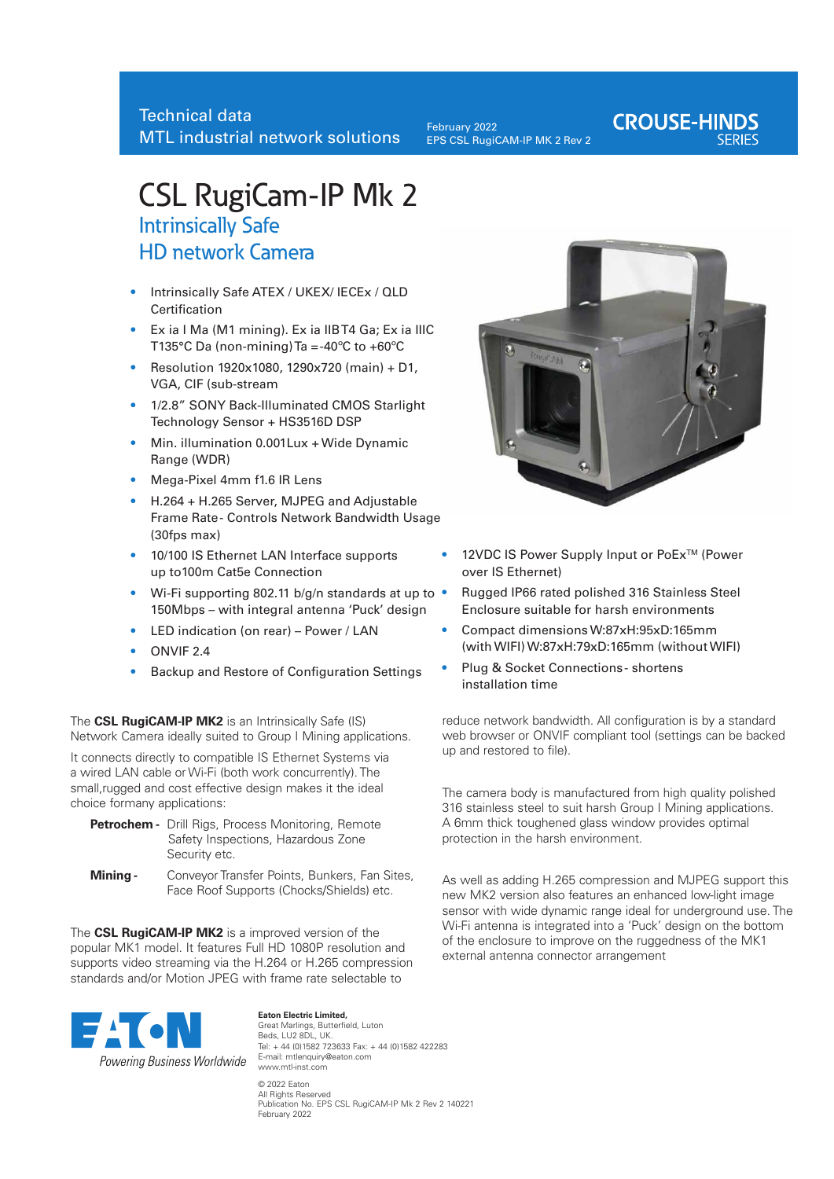February 2022 EPS CSL RugiCAM-IP MK 2 Rev 2

## **CROUSE-HINDS**

# CSL RugiCam-IP Mk 2

## Intrinsically Safe HD network Camera

- **•** Intrinsically Safe ATEX / UKEX/ IECEx / QLD Certification
- **•** Ex ia I Ma (M1 mining). Ex ia IIB T4 Ga; Ex ia IIIC T135°C Da (non-mining) Ta =-40°C to +60°C
- Resolution 1920x1080, 1290x720 (main) + D1, VGA, CIF (sub-stream
- 1/2.8" SONY Back-Illuminated CMOS Starlight Technology Sensor + HS3516D DSP
- Min. illumination 0.001Lux + Wide Dynamic Range (WDR)
- Mega-Pixel 4mm f1.6 IR Lens
- H.264 + H.265 Server, MJPEG and Adjustable Frame Rate - Controls Network Bandwidth Usage (30fps max)
- 10/100 IS Ethernet LAN Interface supports up to100m Cat5e Connection
- Wi-Fi supporting 802.11 b/g/n standards at up to 150Mbps – with integral antenna 'Puck' design
- LED indication (on rear) Power / LAN
- ONVIF 2.4
- Backup and Restore of Configuration Settings

The **CSL RugiCAM-IP MK2** is an Intrinsically Safe (IS) Network Camera ideally suited to Group I Mining applications.

It connects directly to compatible IS Ethernet Systems via a wired LAN cable or Wi-Fi (both work concurrently). The small,rugged and cost effective design makes it the ideal choice formany applications:

- **Petrochem -** Drill Rigs, Process Monitoring, Remote Safety Inspections, Hazardous Zone Security etc.
- **Mining -** Conveyor Transfer Points, Bunkers, Fan Sites, Face Roof Supports (Chocks/Shields) etc.

The **CSL RugiCAM-IP MK2** is a improved version of the popular MK1 model. It features Full HD 1080P resolution and supports video streaming via the H.264 or H.265 compression standards and/or Motion JPEG with frame rate selectable to



**Eaton Electric Limited,** Great Marlings, Butterfield, Luton Beds, LU2 8DL, UK. Tel: + 44 (0)1582 723633 Fax: + 44 (0)1582 422283 E-mail: mtlenquiry@eaton.com www.mtl-inst.com © 2022 Eaton All Rights Reserved Publication No. EPS CSL RugiCAM-IP Mk 2 Rev 2 140221 February 2022



- 12VDC IS Power Supply Input or PoEx<sup>™</sup> (Power over IS Ethernet)
- Rugged IP66 rated polished 316 Stainless Steel Enclosure suitable for harsh environments
- Compact dimensions W:87xH:95xD:165mm (with WIFI) W:87xH:79xD:165mm (without WIFI)
- Plug & Socket Connections shortens installation time

reduce network bandwidth. All configuration is by a standard web browser or ONVIF compliant tool (settings can be backed up and restored to file).

The camera body is manufactured from high quality polished 316 stainless steel to suit harsh Group I Mining applications. A 6mm thick toughened glass window provides optimal protection in the harsh environment.

As well as adding H.265 compression and MJPEG support this new MK2 version also features an enhanced low-light image sensor with wide dynamic range ideal for underground use. The Wi-Fi antenna is integrated into a 'Puck' design on the bottom of the enclosure to improve on the ruggedness of the MK1 external antenna connector arrangement